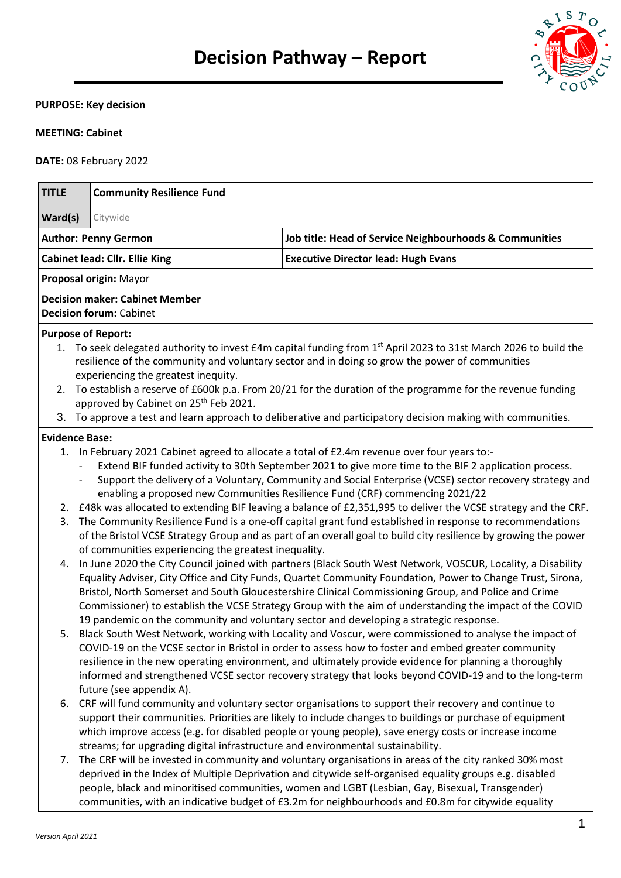

### **PURPOSE: Key decision**

## **MEETING: Cabinet**

**DATE:** 08 February 2022

| <b>TITLE</b>                          |                          | <b>Community Resilience Fund</b>                                                                                                                                                                                                                                                                                                                                                                                                                                                                                                                                                                                                                                                                                                                                                                                                                                                                                                                                                                   |                                                                                                                                                                                                                                                                                                                                                                                                                                                                                                                                                                                                                                                                                                                                                                                                                                                                      |  |  |  |
|---------------------------------------|--------------------------|----------------------------------------------------------------------------------------------------------------------------------------------------------------------------------------------------------------------------------------------------------------------------------------------------------------------------------------------------------------------------------------------------------------------------------------------------------------------------------------------------------------------------------------------------------------------------------------------------------------------------------------------------------------------------------------------------------------------------------------------------------------------------------------------------------------------------------------------------------------------------------------------------------------------------------------------------------------------------------------------------|----------------------------------------------------------------------------------------------------------------------------------------------------------------------------------------------------------------------------------------------------------------------------------------------------------------------------------------------------------------------------------------------------------------------------------------------------------------------------------------------------------------------------------------------------------------------------------------------------------------------------------------------------------------------------------------------------------------------------------------------------------------------------------------------------------------------------------------------------------------------|--|--|--|
| Ward(s)                               | Citywide                 |                                                                                                                                                                                                                                                                                                                                                                                                                                                                                                                                                                                                                                                                                                                                                                                                                                                                                                                                                                                                    |                                                                                                                                                                                                                                                                                                                                                                                                                                                                                                                                                                                                                                                                                                                                                                                                                                                                      |  |  |  |
| <b>Author: Penny Germon</b>           |                          |                                                                                                                                                                                                                                                                                                                                                                                                                                                                                                                                                                                                                                                                                                                                                                                                                                                                                                                                                                                                    | Job title: Head of Service Neighbourhoods & Communities                                                                                                                                                                                                                                                                                                                                                                                                                                                                                                                                                                                                                                                                                                                                                                                                              |  |  |  |
| <b>Cabinet lead: Cllr. Ellie King</b> |                          |                                                                                                                                                                                                                                                                                                                                                                                                                                                                                                                                                                                                                                                                                                                                                                                                                                                                                                                                                                                                    | <b>Executive Director lead: Hugh Evans</b>                                                                                                                                                                                                                                                                                                                                                                                                                                                                                                                                                                                                                                                                                                                                                                                                                           |  |  |  |
|                                       |                          | Proposal origin: Mayor                                                                                                                                                                                                                                                                                                                                                                                                                                                                                                                                                                                                                                                                                                                                                                                                                                                                                                                                                                             |                                                                                                                                                                                                                                                                                                                                                                                                                                                                                                                                                                                                                                                                                                                                                                                                                                                                      |  |  |  |
|                                       |                          | <b>Decision maker: Cabinet Member</b><br><b>Decision forum: Cabinet</b>                                                                                                                                                                                                                                                                                                                                                                                                                                                                                                                                                                                                                                                                                                                                                                                                                                                                                                                            |                                                                                                                                                                                                                                                                                                                                                                                                                                                                                                                                                                                                                                                                                                                                                                                                                                                                      |  |  |  |
|                                       |                          | <b>Purpose of Report:</b>                                                                                                                                                                                                                                                                                                                                                                                                                                                                                                                                                                                                                                                                                                                                                                                                                                                                                                                                                                          |                                                                                                                                                                                                                                                                                                                                                                                                                                                                                                                                                                                                                                                                                                                                                                                                                                                                      |  |  |  |
|                                       |                          | experiencing the greatest inequity.                                                                                                                                                                                                                                                                                                                                                                                                                                                                                                                                                                                                                                                                                                                                                                                                                                                                                                                                                                | 1. To seek delegated authority to invest £4m capital funding from 1 <sup>st</sup> April 2023 to 31st March 2026 to build the<br>resilience of the community and voluntary sector and in doing so grow the power of communities                                                                                                                                                                                                                                                                                                                                                                                                                                                                                                                                                                                                                                       |  |  |  |
|                                       |                          | approved by Cabinet on 25 <sup>th</sup> Feb 2021.                                                                                                                                                                                                                                                                                                                                                                                                                                                                                                                                                                                                                                                                                                                                                                                                                                                                                                                                                  | 2. To establish a reserve of £600k p.a. From 20/21 for the duration of the programme for the revenue funding                                                                                                                                                                                                                                                                                                                                                                                                                                                                                                                                                                                                                                                                                                                                                         |  |  |  |
|                                       |                          |                                                                                                                                                                                                                                                                                                                                                                                                                                                                                                                                                                                                                                                                                                                                                                                                                                                                                                                                                                                                    | 3. To approve a test and learn approach to deliberative and participatory decision making with communities.                                                                                                                                                                                                                                                                                                                                                                                                                                                                                                                                                                                                                                                                                                                                                          |  |  |  |
| <b>Evidence Base:</b>                 |                          |                                                                                                                                                                                                                                                                                                                                                                                                                                                                                                                                                                                                                                                                                                                                                                                                                                                                                                                                                                                                    |                                                                                                                                                                                                                                                                                                                                                                                                                                                                                                                                                                                                                                                                                                                                                                                                                                                                      |  |  |  |
| 3.<br>4.                              | $\overline{\phantom{a}}$ | of communities experiencing the greatest inequality.                                                                                                                                                                                                                                                                                                                                                                                                                                                                                                                                                                                                                                                                                                                                                                                                                                                                                                                                               | 1. In February 2021 Cabinet agreed to allocate a total of £2.4m revenue over four years to:-<br>Extend BIF funded activity to 30th September 2021 to give more time to the BIF 2 application process.<br>Support the delivery of a Voluntary, Community and Social Enterprise (VCSE) sector recovery strategy and<br>enabling a proposed new Communities Resilience Fund (CRF) commencing 2021/22<br>2. £48k was allocated to extending BIF leaving a balance of £2,351,995 to deliver the VCSE strategy and the CRF.<br>The Community Resilience Fund is a one-off capital grant fund established in response to recommendations<br>of the Bristol VCSE Strategy Group and as part of an overall goal to build city resilience by growing the power<br>In June 2020 the City Council joined with partners (Black South West Network, VOSCUR, Locality, a Disability |  |  |  |
| 5.<br>6.                              |                          | Equality Adviser, City Office and City Funds, Quartet Community Foundation, Power to Change Trust, Sirona,<br>Bristol, North Somerset and South Gloucestershire Clinical Commissioning Group, and Police and Crime<br>Commissioner) to establish the VCSE Strategy Group with the aim of understanding the impact of the COVID<br>19 pandemic on the community and voluntary sector and developing a strategic response.<br>Black South West Network, working with Locality and Voscur, were commissioned to analyse the impact of<br>COVID-19 on the VCSE sector in Bristol in order to assess how to foster and embed greater community<br>resilience in the new operating environment, and ultimately provide evidence for planning a thoroughly<br>informed and strengthened VCSE sector recovery strategy that looks beyond COVID-19 and to the long-term<br>future (see appendix A).<br>CRF will fund community and voluntary sector organisations to support their recovery and continue to |                                                                                                                                                                                                                                                                                                                                                                                                                                                                                                                                                                                                                                                                                                                                                                                                                                                                      |  |  |  |
| 7.                                    |                          | streams; for upgrading digital infrastructure and environmental sustainability.                                                                                                                                                                                                                                                                                                                                                                                                                                                                                                                                                                                                                                                                                                                                                                                                                                                                                                                    | support their communities. Priorities are likely to include changes to buildings or purchase of equipment<br>which improve access (e.g. for disabled people or young people), save energy costs or increase income<br>The CRF will be invested in community and voluntary organisations in areas of the city ranked 30% most<br>deprived in the Index of Multiple Deprivation and citywide self-organised equality groups e.g. disabled<br>people, black and minoritised communities, women and LGBT (Lesbian, Gay, Bisexual, Transgender)                                                                                                                                                                                                                                                                                                                           |  |  |  |

communities, with an indicative budget of £3.2m for neighbourhoods and £0.8m for citywide equality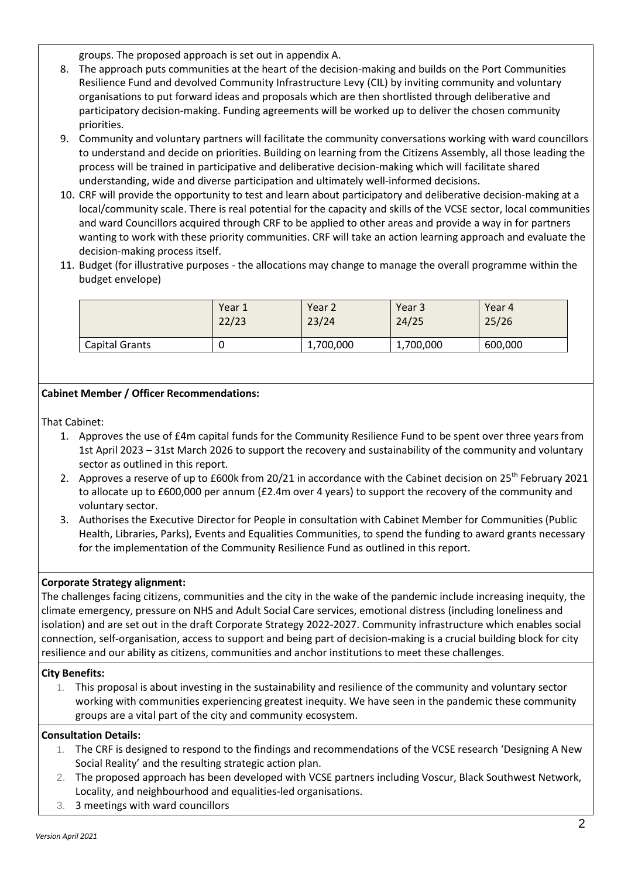groups. The proposed approach is set out in appendix A.

- 8. The approach puts communities at the heart of the decision-making and builds on the Port Communities Resilience Fund and devolved Community Infrastructure Levy (CIL) by inviting community and voluntary organisations to put forward ideas and proposals which are then shortlisted through deliberative and participatory decision-making. Funding agreements will be worked up to deliver the chosen community priorities.
- 9. Community and voluntary partners will facilitate the community conversations working with ward councillors to understand and decide on priorities. Building on learning from the Citizens Assembly, all those leading the process will be trained in participative and deliberative decision-making which will facilitate shared understanding, wide and diverse participation and ultimately well-informed decisions.
- 10. CRF will provide the opportunity to test and learn about participatory and deliberative decision-making at a local/community scale. There is real potential for the capacity and skills of the VCSE sector, local communities and ward Councillors acquired through CRF to be applied to other areas and provide a way in for partners wanting to work with these priority communities. CRF will take an action learning approach and evaluate the decision-making process itself.
- 11. Budget (for illustrative purposes the allocations may change to manage the overall programme within the budget envelope)

|                | Year 1 | Year 2    | Year 3    | Year 4  |
|----------------|--------|-----------|-----------|---------|
|                | 22/23  | 23/24     | 24/25     | 25/26   |
| Capital Grants | U      | 1,700,000 | 1,700,000 | 600,000 |

# **Cabinet Member / Officer Recommendations:**

That Cabinet:

- 1. Approves the use of £4m capital funds for the Community Resilience Fund to be spent over three years from 1st April 2023 – 31st March 2026 to support the recovery and sustainability of the community and voluntary sector as outlined in this report.
- 2. Approves a reserve of up to £600k from 20/21 in accordance with the Cabinet decision on 25<sup>th</sup> February 2021 to allocate up to £600,000 per annum (£2.4m over 4 years) to support the recovery of the community and voluntary sector.
- 3. Authorises the Executive Director for People in consultation with Cabinet Member for Communities (Public Health, Libraries, Parks), Events and Equalities Communities, to spend the funding to award grants necessary for the implementation of the Community Resilience Fund as outlined in this report.

# **Corporate Strategy alignment:**

The challenges facing citizens, communities and the city in the wake of the pandemic include increasing inequity, the climate emergency, pressure on NHS and Adult Social Care services, emotional distress (including loneliness and isolation) and are set out in the draft Corporate Strategy 2022-2027. Community infrastructure which enables social connection, self-organisation, access to support and being part of decision-making is a crucial building block for city resilience and our ability as citizens, communities and anchor institutions to meet these challenges.

### **City Benefits:**

1. This proposal is about investing in the sustainability and resilience of the community and voluntary sector working with communities experiencing greatest inequity. We have seen in the pandemic these community groups are a vital part of the city and community ecosystem.

### **Consultation Details:**

- 1. The CRF is designed to respond to the findings and recommendations of the VCSE research 'Designing A New Social Reality' and the resulting strategic action plan.
- 2. The proposed approach has been developed with VCSE partners including Voscur, Black Southwest Network, Locality, and neighbourhood and equalities-led organisations.
- 3. 3 meetings with ward councillors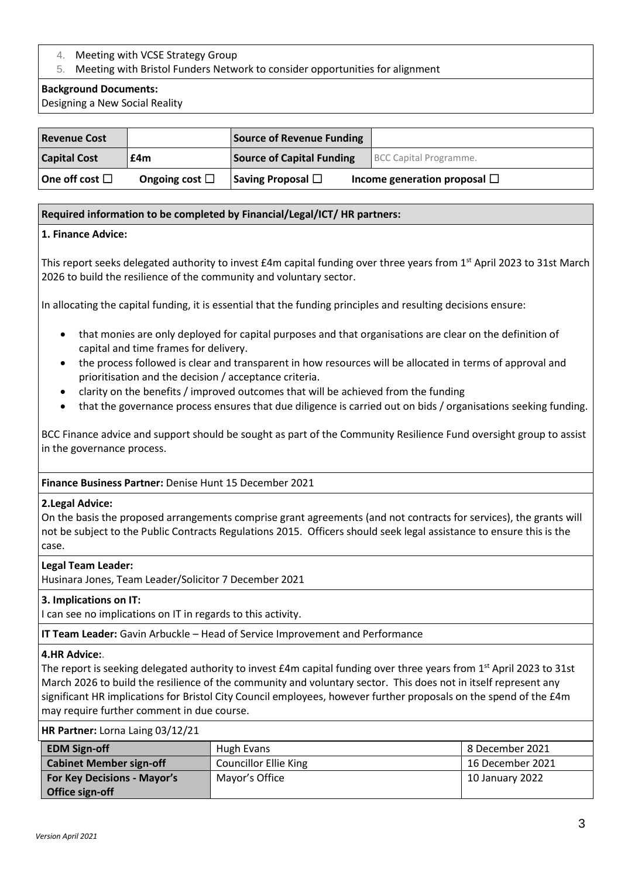# 4. Meeting with VCSE Strategy Group

## 5. Meeting with Bristol Funders Network to consider opportunities for alignment

## **Background Documents:**

Designing a New Social Reality

| <b>Revenue Cost</b>     |                     | Source of Revenue Funding        |                                   |
|-------------------------|---------------------|----------------------------------|-----------------------------------|
| <b>Capital Cost</b>     | £4m                 | <b>Source of Capital Funding</b> | BCC Capital Programme.            |
| $ $ One off cost $\Box$ | Ongoing cost $\Box$ | Saving Proposal $\Box$           | Income generation proposal $\Box$ |

## **Required information to be completed by Financial/Legal/ICT/ HR partners:**

## **1. Finance Advice:**

This report seeks delegated authority to invest  $E4m$  capital funding over three years from 1<sup>st</sup> April 2023 to 31st March 2026 to build the resilience of the community and voluntary sector.

In allocating the capital funding, it is essential that the funding principles and resulting decisions ensure:

- that monies are only deployed for capital purposes and that organisations are clear on the definition of capital and time frames for delivery.
- the process followed is clear and transparent in how resources will be allocated in terms of approval and prioritisation and the decision / acceptance criteria.
- clarity on the benefits / improved outcomes that will be achieved from the funding
- that the governance process ensures that due diligence is carried out on bids / organisations seeking funding.

BCC Finance advice and support should be sought as part of the Community Resilience Fund oversight group to assist in the governance process.

### **Finance Business Partner:** Denise Hunt 15 December 2021

### **2.Legal Advice:**

On the basis the proposed arrangements comprise grant agreements (and not contracts for services), the grants will not be subject to the Public Contracts Regulations 2015. Officers should seek legal assistance to ensure this is the case.

### **Legal Team Leader:**

Husinara Jones, Team Leader/Solicitor 7 December 2021

### **3. Implications on IT:**

I can see no implications on IT in regards to this activity.

**IT Team Leader:** Gavin Arbuckle – Head of Service Improvement and Performance

### **4.HR Advice:.**

The report is seeking delegated authority to invest  $E4m$  capital funding over three years from 1<sup>st</sup> April 2023 to 31st March 2026 to build the resilience of the community and voluntary sector. This does not in itself represent any significant HR implications for Bristol City Council employees, however further proposals on the spend of the £4m may require further comment in due course.

### **HR Partner:** Lorna Laing 03/12/21

| <b>EDM Sign-off</b>                | Hugh Evans                   | 8 December 2021  |
|------------------------------------|------------------------------|------------------|
| <b>Cabinet Member sign-off</b>     | <b>Councillor Ellie King</b> | 16 December 2021 |
| <b>For Key Decisions - Mayor's</b> | Mayor's Office               | 10 January 2022  |
| Office sign-off                    |                              |                  |